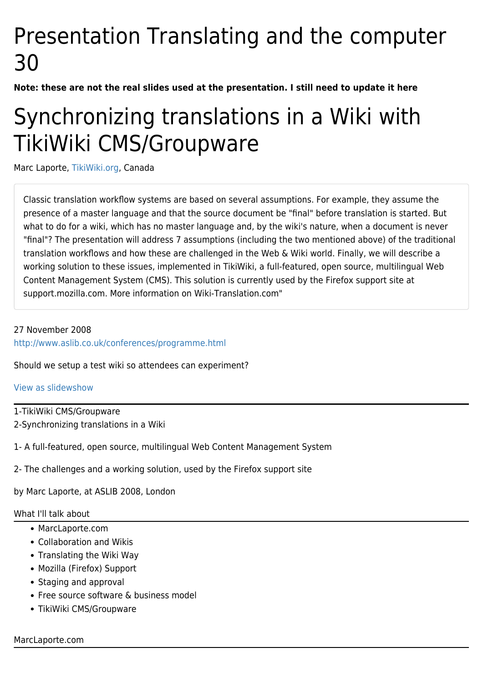# Presentation Translating and the computer 30

**Note: these are not the real slides used at the presentation. I still need to update it here**

# Synchronizing translations in a Wiki with TikiWiki CMS/Groupware

Marc Laporte, [TikiWiki.org](http://TikiWiki.org), Canada

Classic translation workflow systems are based on several assumptions. For example, they assume the presence of a master language and that the source document be "final" before translation is started. But what to do for a wiki, which has no master language and, by the wiki's nature, when a document is never "final"? The presentation will address 7 assumptions (including the two mentioned above) of the traditional translation workflows and how these are challenged in the Web & Wiki world. Finally, we will describe a working solution to these issues, implemented in TikiWiki, a full-featured, open source, multilingual Web Content Management System (CMS). This solution is currently used by the Firefox support site at support.mozilla.com. More information on Wiki-Translation.com"

# 27 November 2008 <http://www.aslib.co.uk/conferences/programme.html>

Should we setup a test wiki so attendees can experiment?

## [View as slidewshow](https://tiki.org/tiki-slideshow.php?page=Presentation+Translating+and+the+computer+30)

1-TikiWiki CMS/Groupware 2-Synchronizing translations in a Wiki

- 1- A full-featured, open source, multilingual Web Content Management System
- 2- The challenges and a working solution, used by the Firefox support site

by Marc Laporte, at ASLIB 2008, London

## What I'll talk about

- MarcLaporte.com
- Collaboration and Wikis
- Translating the Wiki Way
- Mozilla (Firefox) Support
- Staging and approval
- Free source software & business model
- TikiWiki CMS/Groupware

## MarcLaporte.com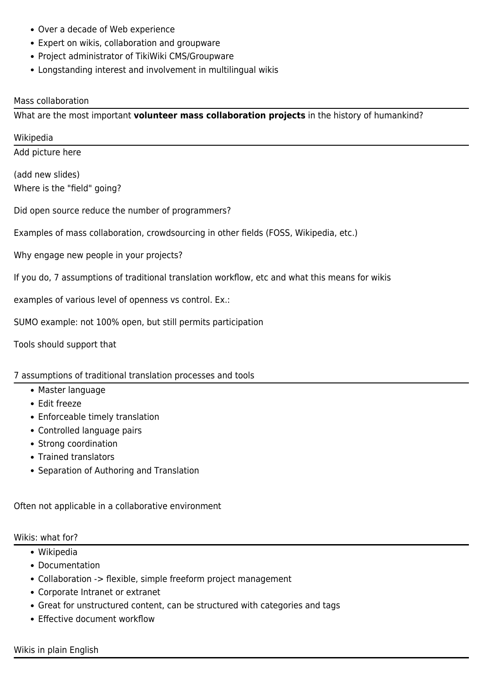- Over a decade of Web experience
- Expert on wikis, collaboration and groupware
- Project administrator of TikiWiki CMS/Groupware
- Longstanding interest and involvement in multilingual wikis

### Mass collaboration

What are the most important **volunteer mass collaboration projects** in the history of humankind?

Wikipedia

Add picture here

(add new slides) Where is the "field" going?

Did open source reduce the number of programmers?

Examples of mass collaboration, crowdsourcing in other fields (FOSS, Wikipedia, etc.)

Why engage new people in your projects?

If you do, 7 assumptions of traditional translation workflow, etc and what this means for wikis

examples of various level of openness vs control. Ex.:

SUMO example: not 100% open, but still permits participation

Tools should support that

## 7 assumptions of traditional translation processes and tools

- Master language
- Edit freeze
- Enforceable timely translation
- Controlled language pairs
- Strong coordination
- Trained translators
- Separation of Authoring and Translation

Often not applicable in a collaborative environment

#### Wikis: what for?

- Wikipedia
- Documentation
- Collaboration -> flexible, simple freeform project management
- Corporate Intranet or extranet
- Great for unstructured content, can be structured with categories and tags
- Effective document workflow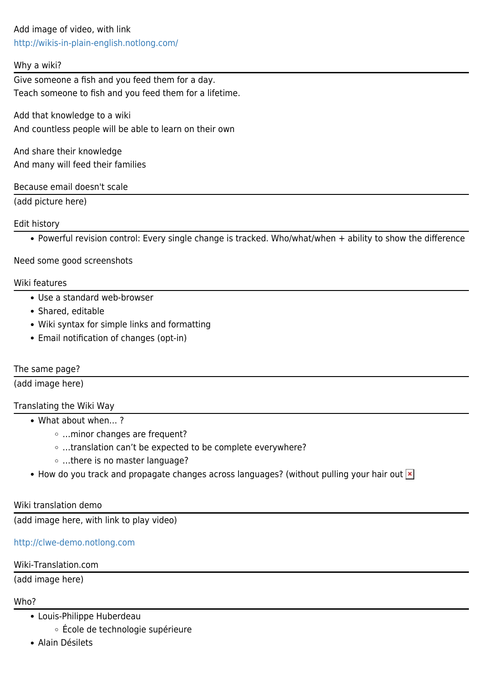Add image of video, with link <http://wikis-in-plain-english.notlong.com/>

### Why a wiki?

Give someone a fish and you feed them for a day. Teach someone to fish and you feed them for a lifetime.

Add that knowledge to a wiki And countless people will be able to learn on their own

And share their knowledge And many will feed their families

## Because email doesn't scale

(add picture here)

## Edit history

Powerful revision control: Every single change is tracked. Who/what/when + ability to show the difference

## [Need some good screenshots](https://tiki.org/tiki-editpage.php?page=Need+some+good+screenshots)

#### Wiki features

- Use a standard web-browser
- Shared, editable
- Wiki syntax for simple links and formatting
- Email notification of changes (opt-in)

#### The same page?

(add image here)

## Translating the Wiki Way

- What about when… ?
	- …minor changes are frequent?
	- …translation can't be expected to be complete everywhere?
	- …there is no master language?
- How do you track and propagate changes across languages? (without pulling your hair out  $\overline{\mathbf{x}}$ )

#### Wiki translation demo

(add image here, with link to play video)

## <http://clwe-demo.notlong.com>

## Wiki-Translation.com

(add image here)

## Who?

- Louis-Philippe Huberdeau
	- École de technologie supérieure
- Alain Désilets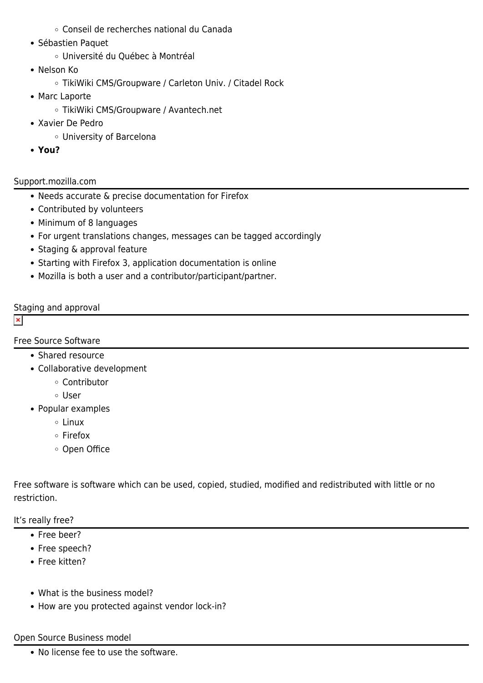- Conseil de recherches national du Canada
- Sébastien Paquet
	- Université du Québec à Montréal
- Nelson Ko
	- TikiWiki CMS/Groupware / Carleton Univ. / Citadel Rock
- Marc Laporte
	- TikiWiki CMS/Groupware / Avantech.net
- Xavier De Pedro
	- University of Barcelona
- **You?**

# Support.mozilla.com

- Needs accurate & precise documentation for Firefox
- Contributed by volunteers
- Minimum of 8 languages
- For urgent translations changes, messages can be tagged accordingly
- Staging & approval feature
- Starting with Firefox 3, application documentation is online
- Mozilla is both a user and a contributor/participant/partner.

# Staging and approval

 $\pmb{\times}$ 

# Free Source Software

- Shared resource
- Collaborative development
	- Contributor
	- User
- Popular examples
	- Linux
	- Firefox
	- Open Office

Free software is software which can be used, copied, studied, modified and redistributed with little or no restriction.

It's really free?

- Free beer?
- Free speech?
- Free kitten?
- What is the business model?
- How are you protected against vendor lock-in?

## Open Source Business model

• No license fee to use the software.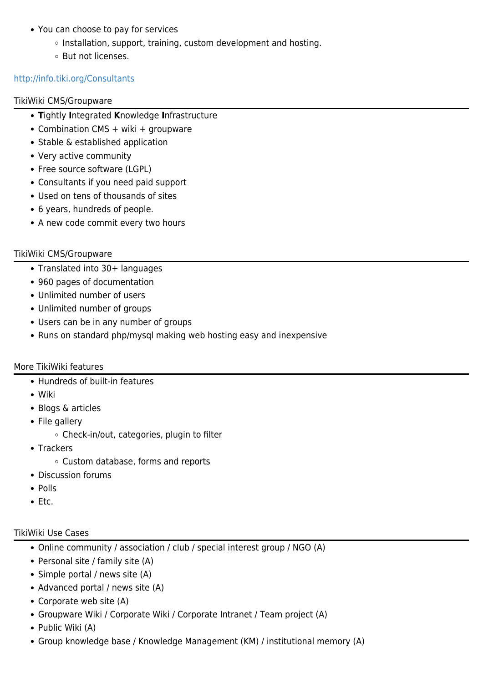- You can choose to pay for services
	- o Installation, support, training, custom development and hosting.
	- But not licenses.

## <http://info.tiki.org/Consultants>

### TikiWiki CMS/Groupware

- **T**ightly **I**ntegrated **K**nowledge **I**nfrastructure
- Combination CMS + wiki + groupware
- Stable & established application
- Very active community
- Free source software (LGPL)
- Consultants if you need paid support
- Used on tens of thousands of sites
- 6 years, hundreds of people.
- A new code commit every two hours

## TikiWiki CMS/Groupware

- Translated into 30+ languages
- 960 pages of documentation
- Unlimited number of users
- Unlimited number of groups
- Users can be in any number of groups
- Runs on standard php/mysql making web hosting easy and inexpensive

## More TikiWiki features

- Hundreds of built-in features
- Wiki
- Blogs & articles
- File gallery
	- $\circ$  Check-in/out, categories, plugin to filter
- Trackers
	- Custom database, forms and reports
- Discussion forums
- Polls
- Etc.

## TikiWiki Use Cases

- Online community / association / club / special interest group / NGO (A)
- Personal site / family site (A)
- Simple portal / news site (A)
- Advanced portal / news site (A)
- Corporate web site (A)
- Groupware Wiki / Corporate Wiki / Corporate Intranet / Team project (A)
- Public Wiki (A)
- Group knowledge base / Knowledge Management (KM) / institutional memory (A)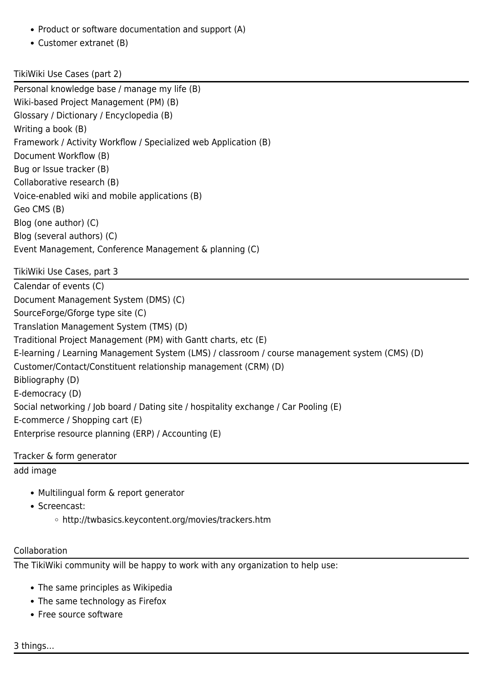- Product or software documentation and support (A)
- Customer extranet (B)

# TikiWiki Use Cases (part 2)

Personal knowledge base / manage my life (B) Wiki-based Project Management (PM) (B) Glossary / Dictionary / Encyclopedia (B) Writing a book (B) Framework / Activity Workflow / Specialized web Application (B) Document Workflow (B) Bug or Issue tracker (B) Collaborative research (B) Voice-enabled wiki and mobile applications (B) Geo CMS (B) Blog (one author) (C) Blog (several authors) (C) Event Management, Conference Management & planning (C)

TikiWiki Use Cases, part 3 Calendar of events (C) Document Management System (DMS) (C) SourceForge/Gforge type site (C) Translation Management System (TMS) (D) Traditional Project Management (PM) with Gantt charts, etc (E) E-learning / Learning Management System (LMS) / classroom / course management system (CMS) (D) Customer/Contact/Constituent relationship management (CRM) (D) Bibliography (D) E-democracy (D) Social networking / Job board / Dating site / hospitality exchange / Car Pooling (E) E-commerce / Shopping cart (E) Enterprise resource planning (ERP) / Accounting (E)

Tracker & form generator

[add image](https://tiki.org/tiki-editpage.php?page=add+image)

- Multilingual form & report generator
- Screencast:
	- http://twbasics.keycontent.org/movies/trackers.htm

## Collaboration

The TikiWiki community will be happy to work with any organization to help use:

- The same principles as Wikipedia
- The same technology as Firefox
- Free source software

3 things…